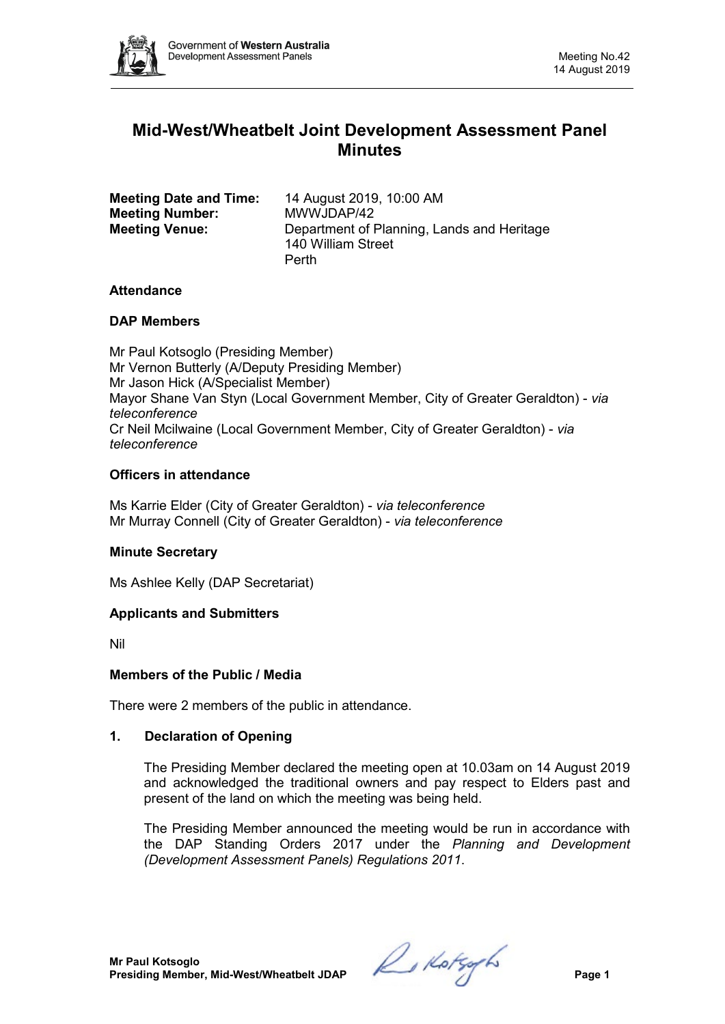

# **Mid-West/Wheatbelt Joint Development Assessment Panel Minutes**

| <b>Meeting Date and Time:</b><br><b>Meeting Number:</b><br><b>Meeting Venue:</b> | 14 August 2019, 10:00 AM<br>MWWJDAP/42<br>Department of Planning, Lands and Heritage |
|----------------------------------------------------------------------------------|--------------------------------------------------------------------------------------|
|                                                                                  | 140 William Street                                                                   |
|                                                                                  | Perth                                                                                |

## **Attendance**

## **DAP Members**

Mr Paul Kotsoglo (Presiding Member) Mr Vernon Butterly (A/Deputy Presiding Member) Mr Jason Hick (A/Specialist Member) Mayor Shane Van Styn (Local Government Member, City of Greater Geraldton) - *via teleconference* Cr Neil Mcilwaine (Local Government Member, City of Greater Geraldton) - *via teleconference*

## **Officers in attendance**

Ms Karrie Elder (City of Greater Geraldton) - *via teleconference* Mr Murray Connell (City of Greater Geraldton) - *via teleconference*

## **Minute Secretary**

Ms Ashlee Kelly (DAP Secretariat)

## **Applicants and Submitters**

Nil

## **Members of the Public / Media**

There were 2 members of the public in attendance.

## **1. Declaration of Opening**

The Presiding Member declared the meeting open at 10.03am on 14 August 2019 and acknowledged the traditional owners and pay respect to Elders past and present of the land on which the meeting was being held.

The Presiding Member announced the meeting would be run in accordance with the DAP Standing Orders 2017 under the *Planning and Development (Development Assessment Panels) Regulations 2011*.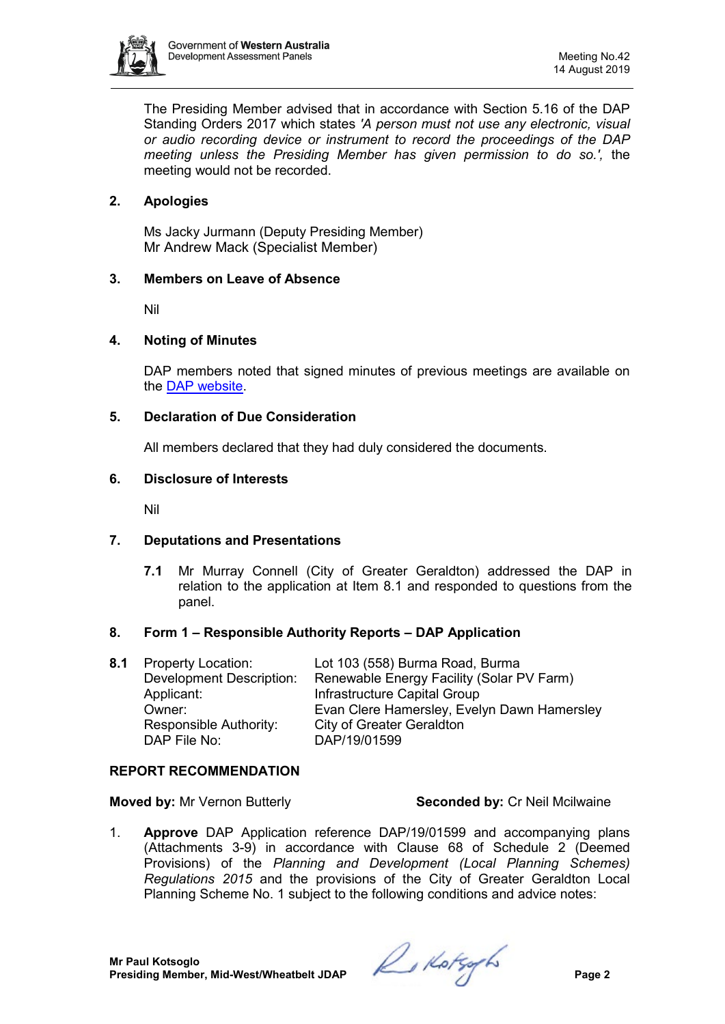

The Presiding Member advised that in accordance with Section 5.16 of the DAP Standing Orders 2017 which states *'A person must not use any electronic, visual or audio recording device or instrument to record the proceedings of the DAP meeting unless the Presiding Member has given permission to do so.',* the meeting would not be recorded.

## **2. Apologies**

Ms Jacky Jurmann (Deputy Presiding Member) Mr Andrew Mack (Specialist Member)

## **3. Members on Leave of Absence**

Nil

#### **4. Noting of Minutes**

DAP members noted that signed minutes of previous meetings are available on the [DAP website.](https://www.dplh.wa.gov.au/about/development-assessment-panels/daps-agendas-and-minutes)

#### **5. Declaration of Due Consideration**

All members declared that they had duly considered the documents.

#### **6. Disclosure of Interests**

Nil

## **7. Deputations and Presentations**

**7.1** Mr Murray Connell (City of Greater Geraldton) addressed the DAP in relation to the application at Item 8.1 and responded to questions from the panel.

## **8. Form 1 – Responsible Authority Reports – DAP Application**

| <b>8.1</b> Property Location:   | Lot 103 (558) Burma Road, Burma             |
|---------------------------------|---------------------------------------------|
| <b>Development Description:</b> | Renewable Energy Facility (Solar PV Farm)   |
| Applicant:                      | Infrastructure Capital Group                |
| Owner:                          | Evan Clere Hamersley, Evelyn Dawn Hamersley |
| Responsible Authority:          | <b>City of Greater Geraldton</b>            |
| DAP File No:                    | DAP/19/01599                                |

#### **REPORT RECOMMENDATION**

**Moved by:** Mr Vernon Butterly **Seconded by:** Cr Neil Mcilwaine

1. **Approve** DAP Application reference DAP/19/01599 and accompanying plans (Attachments 3-9) in accordance with Clause 68 of Schedule 2 (Deemed Provisions) of the *Planning and Development (Local Planning Schemes) Regulations 2015* and the provisions of the City of Greater Geraldton Local Planning Scheme No. 1 subject to the following conditions and advice notes: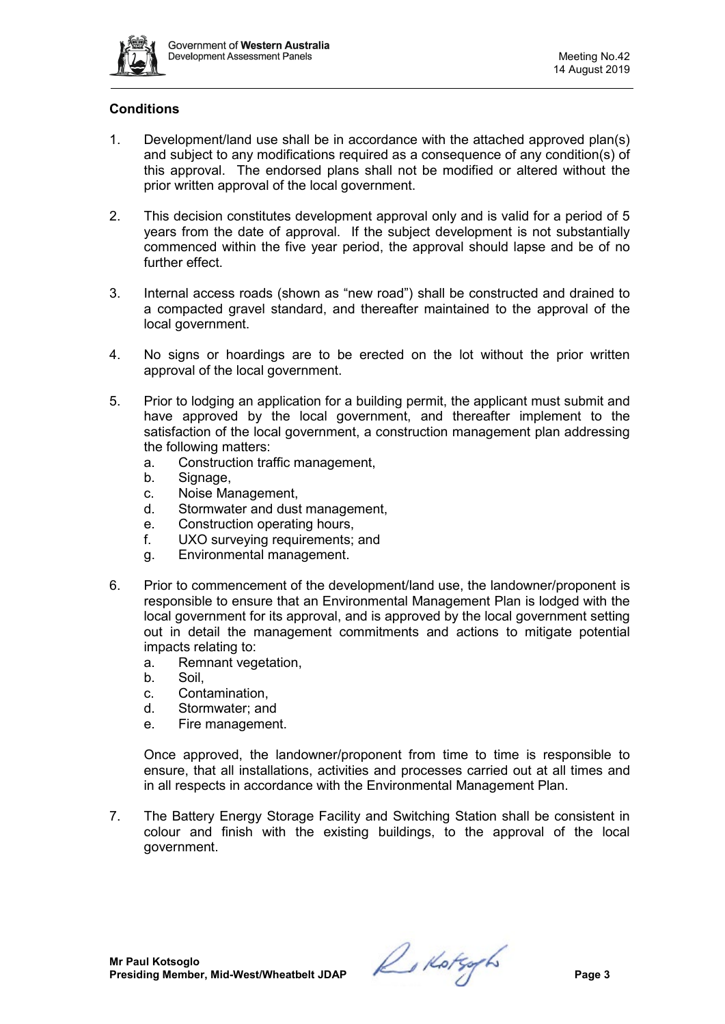

## **Conditions**

- 1. Development/land use shall be in accordance with the attached approved plan(s) and subject to any modifications required as a consequence of any condition(s) of this approval. The endorsed plans shall not be modified or altered without the prior written approval of the local government.
- 2. This decision constitutes development approval only and is valid for a period of 5 years from the date of approval. If the subject development is not substantially commenced within the five year period, the approval should lapse and be of no further effect
- 3. Internal access roads (shown as "new road") shall be constructed and drained to a compacted gravel standard, and thereafter maintained to the approval of the local government.
- 4. No signs or hoardings are to be erected on the lot without the prior written approval of the local government.
- 5. Prior to lodging an application for a building permit, the applicant must submit and have approved by the local government, and thereafter implement to the satisfaction of the local government, a construction management plan addressing the following matters:
	- a. Construction traffic management,
	- b. Signage,
	- c. Noise Management,
	- d. Stormwater and dust management,
	- e. Construction operating hours,
	- f. UXO surveying requirements; and
	- g. Environmental management.
- 6. Prior to commencement of the development/land use, the landowner/proponent is responsible to ensure that an Environmental Management Plan is lodged with the local government for its approval, and is approved by the local government setting out in detail the management commitments and actions to mitigate potential impacts relating to:
	- a. Remnant vegetation,
	- b. Soil,
	- c. Contamination,
	- d. Stormwater; and
	- e. Fire management.

Once approved, the landowner/proponent from time to time is responsible to ensure, that all installations, activities and processes carried out at all times and in all respects in accordance with the Environmental Management Plan.

7. The Battery Energy Storage Facility and Switching Station shall be consistent in colour and finish with the existing buildings, to the approval of the local government.